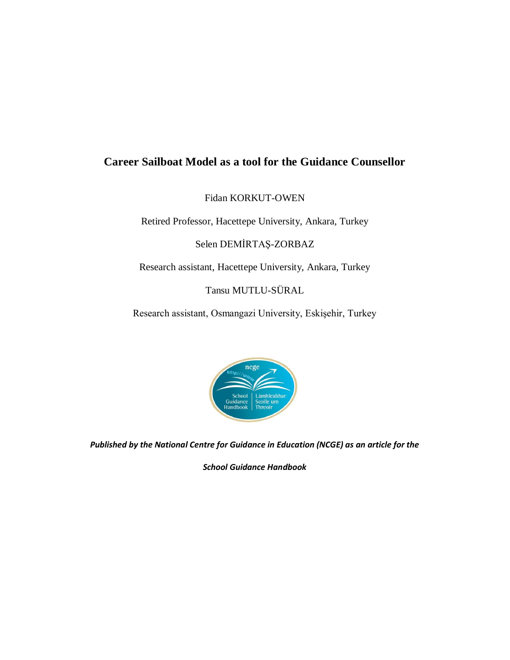## **Career Sailboat Model as a tool for the Guidance Counsellor**

Fidan KORKUT-OWEN

Retired Professor, Hacettepe University, Ankara, Turkey

Selen DEMİRTAŞ-ZORBAZ

Research assistant, Hacettepe University, Ankara, Turkey

Tansu MUTLU-SÜRAL

Research assistant, Osmangazi University, Eskişehir, Turkey



*Published by the National Centre for Guidance in Education (NCGE) as an article for the* 

*School Guidance Handbook*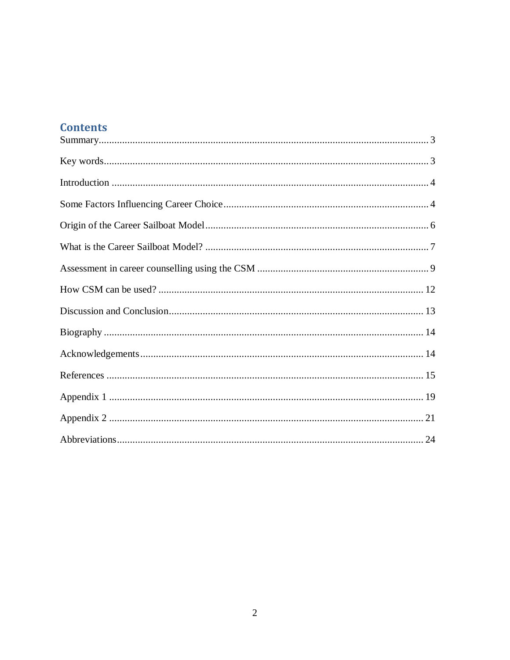# **Contents**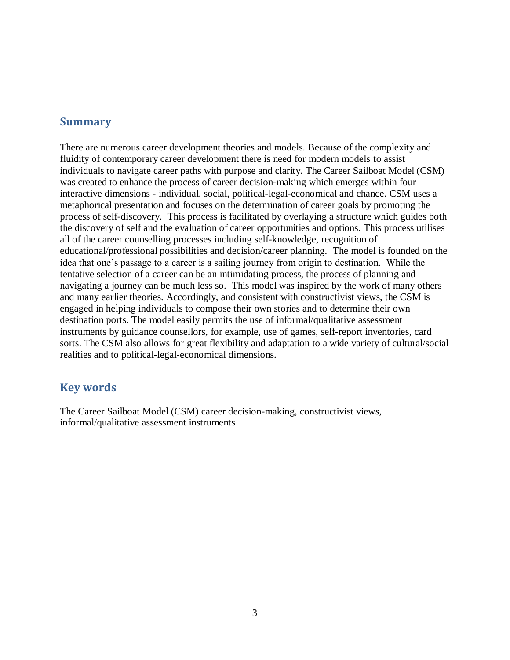#### **Summary**

There are numerous career development theories and models. Because of the complexity and fluidity of contemporary career development there is need for modern models to assist individuals to navigate career paths with purpose and clarity. The Career Sailboat Model (CSM) was created to enhance the process of career decision-making which emerges within four interactive dimensions - individual, social, political-legal-economical and chance. CSM uses a metaphorical presentation and focuses on the determination of career goals by promoting the process of self-discovery. This process is facilitated by overlaying a structure which guides both the discovery of self and the evaluation of career opportunities and options. This process utilises all of the career counselling processes including self-knowledge, recognition of educational/professional possibilities and decision/career planning. The model is founded on the idea that one's passage to a career is a sailing journey from origin to destination. While the tentative selection of a career can be an intimidating process, the process of planning and navigating a journey can be much less so. This model was inspired by the work of many others and many earlier theories. Accordingly, and consistent with constructivist views, the CSM is engaged in helping individuals to compose their own stories and to determine their own destination ports. The model easily permits the use of informal/qualitative assessment instruments by guidance counsellors, for example, use of games, self-report inventories, card sorts. The CSM also allows for great flexibility and adaptation to a wide variety of cultural/social realities and to political-legal-economical dimensions.

#### **Key words**

The Career Sailboat Model (CSM) career decision-making, constructivist views, informal/qualitative assessment instruments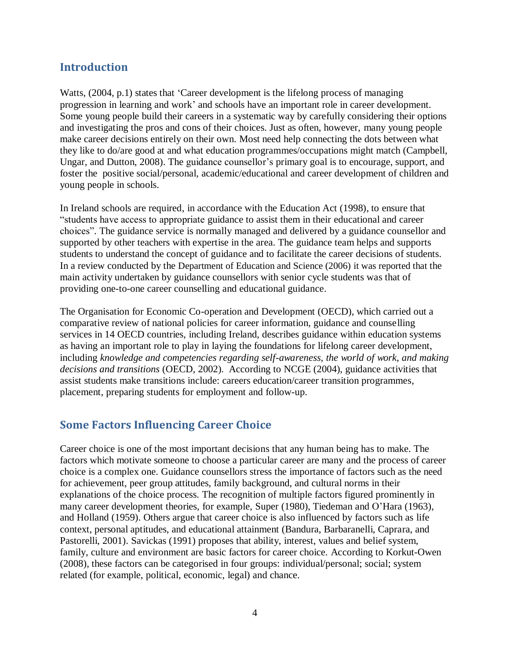## **Introduction**

Watts,  $(2004, p.1)$  states that 'Career development is the lifelong process of managing progression in learning and work' and schools have an important role in career development. Some young people build their careers in a systematic way by carefully considering their options and investigating the pros and cons of their choices. Just as often, however, many young people make career decisions entirely on their own. Most need help connecting the dots between what they like to do/are good at and what education programmes/occupations might match (Campbell, Ungar, and Dutton, 2008). The guidance counsellor's primary goal is to encourage, support, and foster the positive social/personal, academic/educational and career development of children and young people in schools.

In Ireland schools are required, in accordance with the Education Act (1998), to ensure that "students have access to appropriate guidance to assist them in their educational and career choices". The guidance service is normally managed and delivered by a guidance counsellor and supported by other teachers with expertise in the area. The guidance team helps and supports students to understand the concept of guidance and to facilitate the career decisions of students. In a review conducted by the Department of Education and Science (2006) it was reported that the main activity undertaken by guidance counsellors with senior cycle students was that of providing one-to-one career counselling and educational guidance.

The Organisation for Economic Co-operation and Development (OECD), which carried out a comparative review of national policies for career information, guidance and counselling services in 14 OECD countries, including Ireland, describes guidance within education systems as having an important role to play in laying the foundations for lifelong career development, including *knowledge and competencies regarding self-awareness, the world of work, and making decisions and transitions* (OECD, 2002). According to NCGE (2004), guidance activities that assist students make transitions include: careers education/career transition programmes, placement, preparing students for employment and follow-up.

## **Some Factors Influencing Career Choice**

Career choice is one of the most important decisions that any human being has to make. The factors which motivate someone to choose a particular career are many and the process of career choice is a complex one. Guidance counsellors stress the importance of factors such as the need for achievement, peer group attitudes, family background, and cultural norms in their explanations of the choice process. The recognition of multiple factors figured prominently in many career development theories, for example, Super (1980), Tiedeman and O'Hara (1963), and Holland (1959). Others argue that career choice is also influenced by factors such as life context, personal aptitudes, and educational attainment (Bandura, Barbaranelli, Caprara, and Pastorelli, 2001). Savickas (1991) proposes that ability, interest, values and belief system, family, culture and environment are basic factors for career choice. According to Korkut-Owen (2008), these factors can be categorised in four groups: individual/personal; social; system related (for example, political, economic, legal) and chance.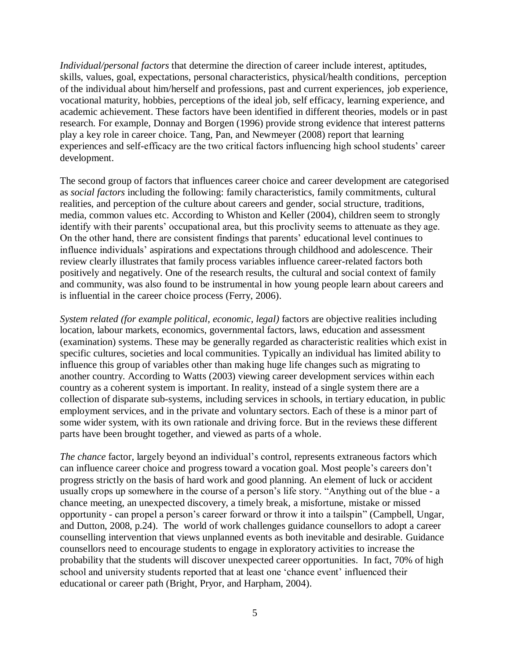*Individual/personal factors* that determine the direction of career include interest, aptitudes, skills, values, goal, expectations, personal characteristics, physical/health conditions, perception of the individual about him/herself and professions, past and current experiences, job experience, vocational maturity, hobbies, perceptions of the ideal job, self efficacy, learning experience, and academic achievement. These factors have been identified in different theories, models or in past research. For example, Donnay and Borgen (1996) provide strong evidence that interest patterns play a key role in career choice. Tang, Pan, and Newmeyer (2008) report that learning experiences and self-efficacy are the two critical factors influencing high school students' career development.

The second group of factors that influences career choice and career development are categorised as *social factors* including the following: family characteristics, family commitments, cultural realities, and perception of the culture about careers and gender, social structure, traditions, media, common values etc. According to Whiston and Keller (2004), children seem to strongly identify with their parents' occupational area, but this proclivity seems to attenuate as they age. On the other hand, there are consistent findings that parents' educational level continues to influence individuals' aspirations and expectations through childhood and adolescence. Their review clearly illustrates that family process variables influence career-related factors both positively and negatively. One of the research results, the cultural and social context of family and community, was also found to be instrumental in how young people learn about careers and is influential in the career choice process (Ferry, 2006).

*System related (for example political, economic, legal)* factors are objective realities including location, labour markets, economics, governmental factors, laws, education and assessment (examination) systems. These may be generally regarded as characteristic realities which exist in specific cultures, societies and local communities. Typically an individual has limited ability to influence this group of variables other than making huge life changes such as migrating to another country. According to Watts (2003) viewing career development services within each country as a coherent system is important. In reality, instead of a single system there are a collection of disparate sub-systems, including services in schools, in tertiary education, in public employment services, and in the private and voluntary sectors. Each of these is a minor part of some wider system, with its own rationale and driving force. But in the reviews these different parts have been brought together, and viewed as parts of a whole.

*The chance* factor, largely beyond an individual's control, represents extraneous factors which can influence career choice and progress toward a vocation goal. Most people's careers don't progress strictly on the basis of hard work and good planning. An element of luck or accident usually crops up somewhere in the course of a person's life story. "Anything out of the blue - a chance meeting, an unexpected discovery, a timely break, a misfortune, mistake or missed opportunity - can propel a person's career forward or throw it into a tailspin" (Campbell, Ungar, and Dutton, 2008, p.24). The world of work challenges guidance counsellors to adopt a career counselling intervention that views unplanned events as both inevitable and desirable. Guidance counsellors need to encourage students to engage in exploratory activities to increase the probability that the students will discover unexpected career opportunities. In fact, 70% of high school and university students reported that at least one 'chance event' influenced their educational or career path (Bright, Pryor, and Harpham, 2004).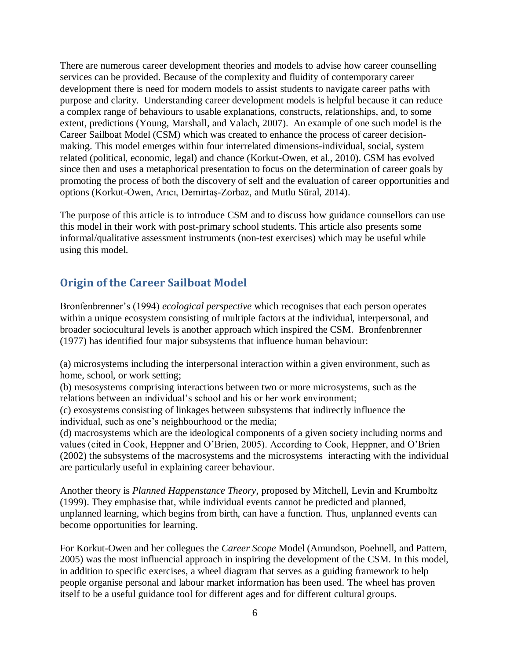There are numerous career development theories and models to advise how career counselling services can be provided. Because of the complexity and fluidity of contemporary career development there is need for modern models to assist students to navigate career paths with purpose and clarity. Understanding career development models is helpful because it can reduce a complex range of behaviours to usable explanations, constructs, relationships, and, to some extent, predictions (Young, Marshall, and Valach, 2007). An example of one such model is the Career Sailboat Model (CSM) which was created to enhance the process of career decisionmaking. This model emerges within four interrelated dimensions-individual, social, system related (political, economic, legal) and chance (Korkut-Owen, et al., 2010). CSM has evolved since then and uses a metaphorical presentation to focus on the determination of career goals by promoting the process of both the discovery of self and the evaluation of career opportunities and options (Korkut-Owen, Arıcı, Demirtaş-Zorbaz, and Mutlu Süral, 2014).

The purpose of this article is to introduce CSM and to discuss how guidance counsellors can use this model in their work with post-primary school students. This article also presents some informal/qualitative assessment instruments (non-test exercises) which may be useful while using this model.

## **Origin of the Career Sailboat Model**

Bronfenbrenner's (1994) *ecological perspective* which recognises that each person operates within a unique ecosystem consisting of multiple factors at the individual, interpersonal, and broader sociocultural levels is another approach which inspired the CSM. Bronfenbrenner (1977) has identified four major subsystems that influence human behaviour:

(a) microsystems including the interpersonal interaction within a given environment, such as home, school, or work setting;

(b) mesosystems comprising interactions between two or more microsystems, such as the relations between an individual's school and his or her work environment;

(c) exosystems consisting of linkages between subsystems that indirectly influence the individual, such as one's neighbourhood or the media;

(d) macrosystems which are the ideological components of a given society including norms and values (cited in Cook, Heppner and O'Brien, 2005). According to Cook, Heppner, and O'Brien (2002) the subsystems of the macrosystems and the microsystems interacting with the individual are particularly useful in explaining career behaviour.

Another theory is *Planned Happenstance Theory*, proposed by Mitchell, Levin and Krumboltz (1999). They emphasise that, while individual events cannot be predicted and planned, unplanned learning, which begins from birth, can have a function. Thus, unplanned events can become opportunities for learning.

For Korkut-Owen and her collegues the *Career Scope* Model (Amundson, Poehnell, and Pattern, 2005) was the most influencial approach in inspiring the development of the CSM. In this model, in addition to specific exercises, a wheel diagram that serves as a guiding framework to help people organise personal and labour market information has been used. The wheel has proven itself to be a useful guidance tool for different ages and for different cultural groups.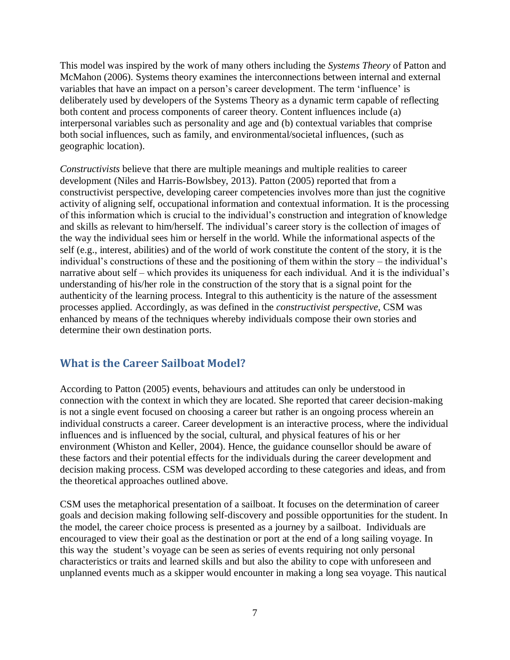This model was inspired by the work of many others including the *Systems Theory* of Patton and McMahon (2006). Systems theory examines the interconnections between internal and external variables that have an impact on a person's career development. The term 'influence' is deliberately used by developers of the Systems Theory as a dynamic term capable of reflecting both content and process components of career theory. Content influences include (a) interpersonal variables such as personality and age and (b) contextual variables that comprise both social influences, such as family, and environmental/societal influences, (such as geographic location).

*Constructivists* believe that there are multiple meanings and multiple realities to career development (Niles and Harris-Bowlsbey, 2013). Patton (2005) reported that from a constructivist perspective, developing career competencies involves more than just the cognitive activity of aligning self, occupational information and contextual information. It is the processing of this information which is crucial to the individual's construction and integration of knowledge and skills as relevant to him/herself. The individual's career story is the collection of images of the way the individual sees him or herself in the world. While the informational aspects of the self (e.g., interest, abilities) and of the world of work constitute the content of the story, it is the individual's constructions of these and the positioning of them within the story – the individual's narrative about self – which provides its uniqueness for each individual. And it is the individual's understanding of his/her role in the construction of the story that is a signal point for the authenticity of the learning process. Integral to this authenticity is the nature of the assessment processes applied. Accordingly, as was defined in the *constructivist perspective*, CSM was enhanced by means of the techniques whereby individuals compose their own stories and determine their own destination ports.

## **What is the Career Sailboat Model?**

According to Patton (2005) events, behaviours and attitudes can only be understood in connection with the context in which they are located. She reported that career decision-making is not a single event focused on choosing a career but rather is an ongoing process wherein an individual constructs a career. Career development is an interactive process, where the individual influences and is influenced by the social, cultural, and physical features of his or her environment (Whiston and Keller, 2004). Hence, the guidance counsellor should be aware of these factors and their potential effects for the individuals during the career development and decision making process. CSM was developed according to these categories and ideas, and from the theoretical approaches outlined above.

CSM uses the metaphorical presentation of a sailboat. It focuses on the determination of career goals and decision making following self-discovery and possible opportunities for the student. In the model, the career choice process is presented as a journey by a sailboat. Individuals are encouraged to view their goal as the destination or port at the end of a long sailing voyage. In this way the student's voyage can be seen as series of events requiring not only personal characteristics or traits and learned skills and but also the ability to cope with unforeseen and unplanned events much as a skipper would encounter in making a long sea voyage. This nautical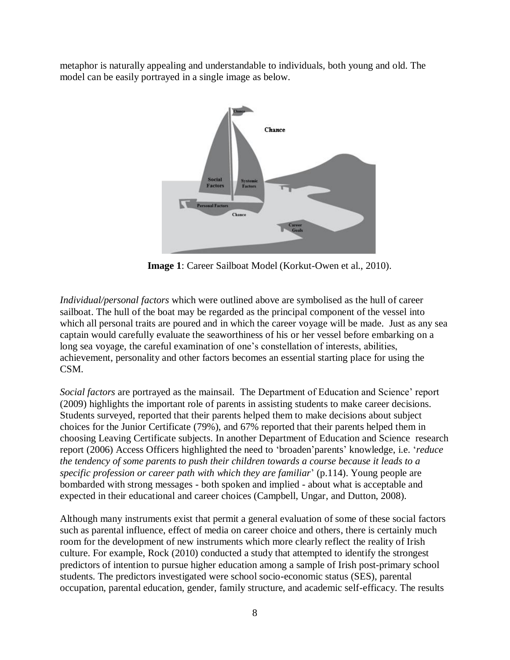metaphor is naturally appealing and understandable to individuals, both young and old. The model can be easily portrayed in a single image as below.



**Image 1**: Career Sailboat Model (Korkut-Owen et al., 2010).

*Individual/personal factors* which were outlined above are symbolised as the hull of career sailboat. The hull of the boat may be regarded as the principal component of the vessel into which all personal traits are poured and in which the career voyage will be made. Just as any sea captain would carefully evaluate the seaworthiness of his or her vessel before embarking on a long sea voyage, the careful examination of one's constellation of interests, abilities, achievement, personality and other factors becomes an essential starting place for using the CSM.

*Social factors* are portrayed as the mainsail. The Department of Education and Science' report (2009) highlights the important role of parents in assisting students to make career decisions. Students surveyed, reported that their parents helped them to make decisions about subject choices for the Junior Certificate (79%), and 67% reported that their parents helped them in choosing Leaving Certificate subjects. In another Department of Education and Science research report (2006) Access Officers highlighted the need to 'broaden'parents' knowledge, i.e. '*reduce the tendency of some parents to push their children towards a course because it leads to a specific profession or career path with which they are familiar'* (p.114). Young people are bombarded with strong messages - both spoken and implied - about what is acceptable and expected in their educational and career choices (Campbell, Ungar, and Dutton, 2008).

Although many instruments exist that permit a general evaluation of some of these social factors such as parental influence, effect of media on career choice and others, there is certainly much room for the development of new instruments which more clearly reflect the reality of Irish culture. For example, Rock (2010) conducted a study that attempted to identify the strongest predictors of intention to pursue higher education among a sample of Irish post-primary school students. The predictors investigated were school socio-economic status (SES), parental occupation, parental education, gender, family structure, and academic self-efficacy. The results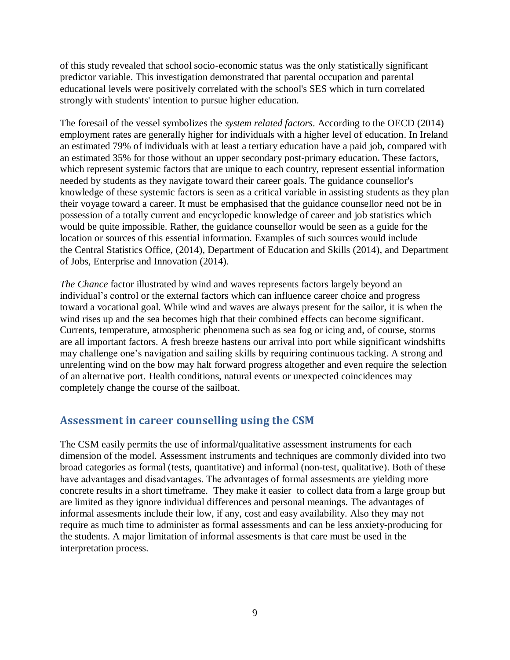of this study revealed that school socio-economic status was the only statistically significant predictor variable. This investigation demonstrated that parental occupation and parental educational levels were positively correlated with the school's SES which in turn correlated strongly with students' intention to pursue higher education.

The foresail of the vessel symbolizes the *system related factors*. According to the OECD (2014) employment rates are generally higher for individuals with a higher level of education. In Ireland an estimated 79% of individuals with at least a tertiary education have a paid job, compared with an estimated 35% for those without an upper secondary post-primary education**.** These factors, which represent systemic factors that are unique to each country, represent essential information needed by students as they navigate toward their career goals. The guidance counsellor's knowledge of these systemic factors is seen as a critical variable in assisting students as they plan their voyage toward a career. It must be emphasised that the guidance counsellor need not be in possession of a totally current and encyclopedic knowledge of career and job statistics which would be quite impossible. Rather, the guidance counsellor would be seen as a guide for the location or sources of this essential information. Examples of such sources would include the Central Statistics Office, (2014), Department of Education and Skills (2014), and Department of Jobs, Enterprise and Innovation (2014).

*The Chance* factor illustrated by wind and waves represents factors largely beyond an individual's control or the external factors which can influence career choice and progress toward a vocational goal. While wind and waves are always present for the sailor, it is when the wind rises up and the sea becomes high that their combined effects can become significant. Currents, temperature, atmospheric phenomena such as sea fog or icing and, of course, storms are all important factors. A fresh breeze hastens our arrival into port while significant windshifts may challenge one's navigation and sailing skills by requiring continuous tacking. A strong and unrelenting wind on the bow may halt forward progress altogether and even require the selection of an alternative port. Health conditions, natural events or unexpected coincidences may completely change the course of the sailboat.

## **Assessment in career counselling using the CSM**

The CSM easily permits the use of informal/qualitative assessment instruments for each dimension of the model. Assessment instruments and techniques are commonly divided into two broad categories as formal (tests, quantitative) and informal (non-test, qualitative). Both of these have advantages and disadvantages. The advantages of formal assesments are yielding more concrete results in a short timeframe. They make it easier to collect data from a large group but are limited as they ignore individual differences and personal meanings. The advantages of informal assesments include their low, if any, cost and easy availability. Also they may not require as much time to administer as formal assessments and can be less anxiety-producing for the students. A major limitation of informal assesments is that care must be used in the interpretation process.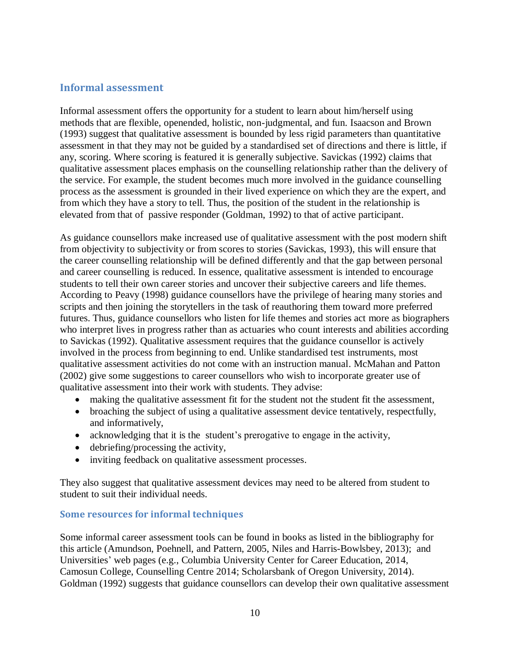#### **Informal assessment**

Informal assessment offers the opportunity for a student to learn about him/herself using methods that are flexible, openended, holistic, non-judgmental, and fun. Isaacson and Brown (1993) suggest that qualitative assessment is bounded by less rigid parameters than quantitative assessment in that they may not be guided by a standardised set of directions and there is little, if any, scoring. Where scoring is featured it is generally subjective. Savickas (1992) claims that qualitative assessment places emphasis on the counselling relationship rather than the delivery of the service. For example, the student becomes much more involved in the guidance counselling process as the assessment is grounded in their lived experience on which they are the expert, and from which they have a story to tell. Thus, the position of the student in the relationship is elevated from that of passive responder (Goldman, 1992) to that of active participant.

As guidance counsellors make increased use of qualitative assessment with the post modern shift from objectivity to subjectivity or from scores to stories (Savickas, 1993), this will ensure that the career counselling relationship will be defined differently and that the gap between personal and career counselling is reduced. In essence, qualitative assessment is intended to encourage students to tell their own career stories and uncover their subjective careers and life themes. According to Peavy (1998) guidance counsellors have the privilege of hearing many stories and scripts and then joining the storytellers in the task of reauthoring them toward more preferred futures. Thus, guidance counsellors who listen for life themes and stories act more as biographers who interpret lives in progress rather than as actuaries who count interests and abilities according to Savickas (1992). Qualitative assessment requires that the guidance counsellor is actively involved in the process from beginning to end. Unlike standardised test instruments, most qualitative assessment activities do not come with an instruction manual. McMahan and Patton (2002) give some suggestions to career counsellors who wish to incorporate greater use of qualitative assessment into their work with students. They advise:

- making the qualitative assessment fit for the student not the student fit the assessment,
- broaching the subject of using a qualitative assessment device tentatively, respectfully, and informatively,
- acknowledging that it is the student's prerogative to engage in the activity,
- debriefing/processing the activity,
- inviting feedback on qualitative assessment processes.

They also suggest that qualitative assessment devices may need to be altered from student to student to suit their individual needs.

#### **Some resources for informal techniques**

Some informal career assessment tools can be found in books as listed in the bibliography for this article (Amundson, Poehnell, and Pattern, 2005, Niles and Harris-Bowlsbey, 2013); and Universities' web pages (e.g., Columbia University Center for Career Education, 2014, Camosun College, Counselling Centre 2014; Scholarsbank of Oregon University, 2014). Goldman (1992) suggests that guidance counsellors can develop their own qualitative assessment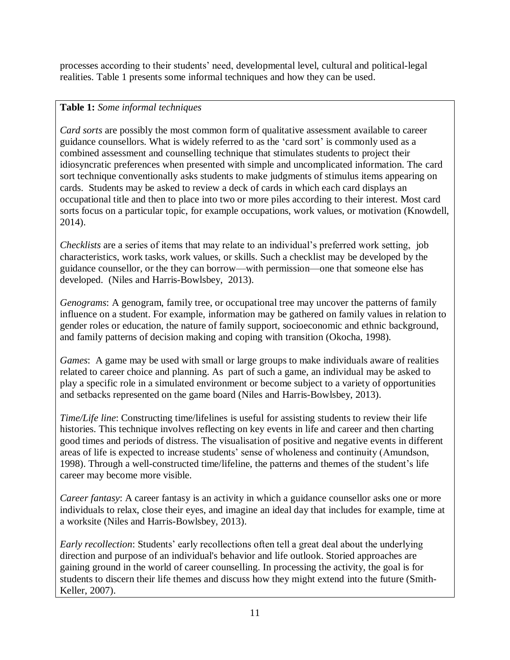processes according to their students' need, developmental level, cultural and political-legal realities. Table 1 presents some informal techniques and how they can be used.

### **Table 1:** *Some informal techniques*

*Card sorts* are possibly the most common form of qualitative assessment available to career guidance counsellors. What is widely referred to as the 'card sort' is commonly used as a combined assessment and counselling technique that stimulates students to project their idiosyncratic preferences when presented with simple and uncomplicated information. The card sort technique conventionally asks students to make judgments of stimulus items appearing on cards. Students may be asked to review a deck of cards in which each card displays an occupational title and then to place into two or more piles according to their interest. Most card sorts focus on a particular topic, for example occupations, work values, or motivation (Knowdell, 2014).

*Checklists* are a series of items that may relate to an individual's preferred work setting, job characteristics, work tasks, work values, or skills. Such a checklist may be developed by the guidance counsellor, or the they can borrow—with permission—one that someone else has developed. (Niles and Harris-Bowlsbey, 2013).

*Genograms*: A genogram, family tree, or occupational tree may uncover the patterns of family influence on a student. For example, information may be gathered on family values in relation to gender roles or education, the nature of family support, socioeconomic and ethnic background, and family patterns of decision making and coping with transition (Okocha, 1998).

*Games*: A game may be used with small or large groups to make individuals aware of realities related to career choice and planning. As part of such a game, an individual may be asked to play a specific role in a simulated environment or become subject to a variety of opportunities and setbacks represented on the game board (Niles and Harris-Bowlsbey, 2013).

*Time/Life line*: Constructing time/lifelines is useful for assisting students to review their life histories. This technique involves reflecting on key events in life and career and then charting good times and periods of distress. The visualisation of positive and negative events in different areas of life is expected to increase students' sense of wholeness and continuity (Amundson, 1998). Through a well-constructed time/lifeline, the patterns and themes of the student's life career may become more visible.

*Career fantasy*: A career fantasy is an activity in which a guidance counsellor asks one or more individuals to relax, close their eyes, and imagine an ideal day that includes for example, time at a worksite (Niles and Harris-Bowlsbey, 2013).

*Early recollection*: Students' early recollections often tell a great deal about the underlying direction and purpose of an individual's behavior and life outlook. Storied approaches are gaining ground in the world of career counselling. In processing the activity, the goal is for students to discern their life themes and discuss how they might extend into the future (Smith-Keller, 2007).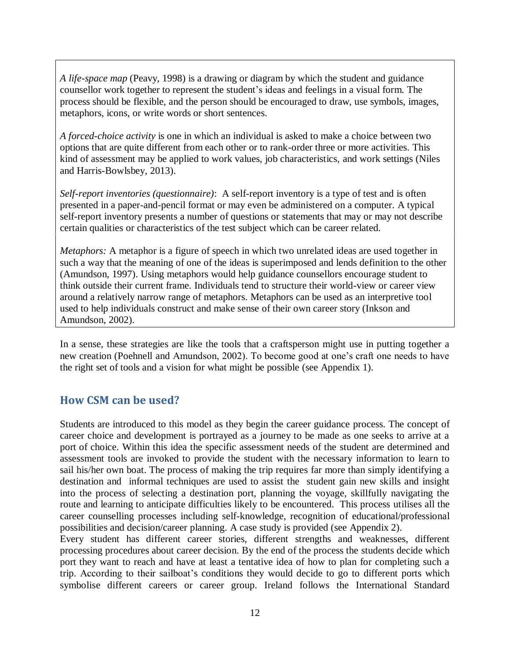*A life-space map* (Peavy, 1998) is a drawing or diagram by which the student and guidance counsellor work together to represent the student's ideas and feelings in a visual form. The process should be flexible, and the person should be encouraged to draw, use symbols, images, metaphors, icons, or write words or short sentences.

*A forced-choice activity* is one in which an individual is asked to make a choice between two options that are quite different from each other or to rank-order three or more activities. This kind of assessment may be applied to work values, job characteristics, and work settings (Niles and Harris-Bowlsbey, 2013).

*Self-report inventories (questionnaire)*: A self-report inventory is a type of test and is often presented in a paper-and-pencil format or may even be administered on a computer. A typical self-report inventory presents a number of questions or statements that may or may not describe certain qualities or characteristics of the test subject which can be career related.

*Metaphors:* A metaphor is a figure of speech in which two unrelated ideas are used together in such a way that the meaning of one of the ideas is superimposed and lends definition to the other (Amundson, 1997). Using metaphors would help guidance counsellors encourage student to think outside their current frame. Individuals tend to structure their world-view or career view around a relatively narrow range of metaphors. Metaphors can be used as an interpretive tool used to help individuals construct and make sense of their own career story (Inkson and Amundson, 2002).

In a sense, these strategies are like the tools that a craftsperson might use in putting together a new creation (Poehnell and Amundson, 2002). To become good at one's craft one needs to have the right set of tools and a vision for what might be possible (see Appendix 1).

#### **How CSM can be used?**

Students are introduced to this model as they begin the career guidance process. The concept of career choice and development is portrayed as a journey to be made as one seeks to arrive at a port of choice. Within this idea the specific assessment needs of the student are determined and assessment tools are invoked to provide the student with the necessary information to learn to sail his/her own boat. The process of making the trip requires far more than simply identifying a destination and informal techniques are used to assist the student gain new skills and insight into the process of selecting a destination port, planning the voyage, skillfully navigating the route and learning to anticipate difficulties likely to be encountered. This process utilises all the career counselling processes including self-knowledge, recognition of educational/professional possibilities and decision/career planning. A case study is provided (see Appendix 2).

Every student has different career stories, different strengths and weaknesses, different processing procedures about career decision. By the end of the process the students decide which port they want to reach and have at least a tentative idea of how to plan for completing such a trip. According to their sailboat's conditions they would decide to go to different ports which symbolise different careers or career group. Ireland follows the International Standard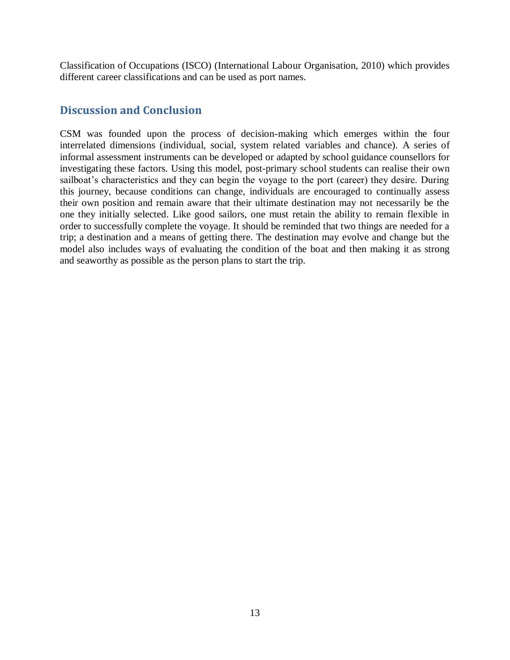Classification of Occupations (ISCO) (International Labour Organisation, 2010) which provides different career classifications and can be used as port names.

### **Discussion and Conclusion**

CSM was founded upon the process of decision-making which emerges within the four interrelated dimensions (individual, social, system related variables and chance). A series of informal assessment instruments can be developed or adapted by school guidance counsellors for investigating these factors. Using this model, post-primary school students can realise their own sailboat's characteristics and they can begin the voyage to the port (career) they desire. During this journey, because conditions can change, individuals are encouraged to continually assess their own position and remain aware that their ultimate destination may not necessarily be the one they initially selected. Like good sailors, one must retain the ability to remain flexible in order to successfully complete the voyage. It should be reminded that two things are needed for a trip; a destination and a means of getting there. The destination may evolve and change but the model also includes ways of evaluating the condition of the boat and then making it as strong and seaworthy as possible as the person plans to start the trip.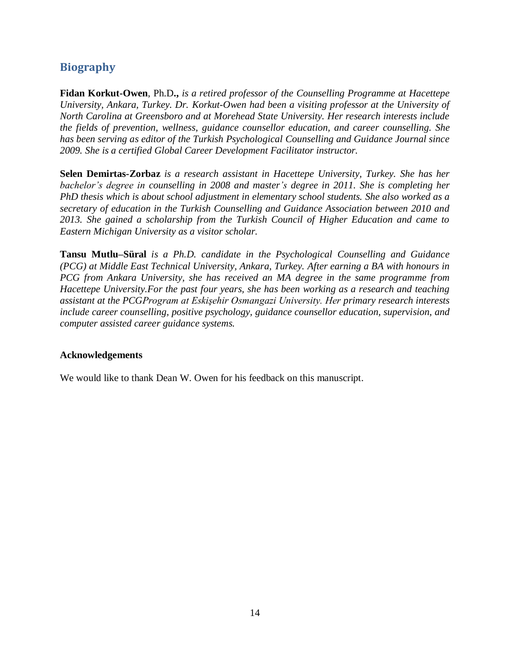## **Biography**

**Fidan Korkut-Owen**, Ph.D**.,** *is a retired professor of the Counselling Programme at Hacettepe University, Ankara, Turkey. Dr. Korkut-Owen had been a visiting professor at the University of North Carolina at Greensboro and at Morehead State University. Her research interests include the fields of prevention, wellness, guidance counsellor education, and career counselling. She has been serving as editor of the Turkish Psychological Counselling and Guidance Journal since 2009. She is a certified Global Career Development Facilitator instructor.* 

**Selen Demirtas-Zorbaz** *is a research assistant in Hacettepe University, Turkey. She has her bachelor's degree in counselling in 2008 and master's degree in 2011. She is completing her PhD thesis which is about school adjustment in elementary school students. She also worked as a secretary of education in the Turkish Counselling and Guidance Association between 2010 and 2013. She gained a scholarship from the Turkish Council of Higher Education and came to Eastern Michigan University as a visitor scholar.* 

**Tansu Mutlu–Süral** *is a Ph.D. candidate in the Psychological Counselling and Guidance (PCG) at Middle East Technical University, Ankara, Turkey. After earning a BA with honours in PCG from Ankara University, she has received an MA degree in the same programme from Hacettepe University.For the past four years, she has been working as a research and teaching assistant at the PCGProgram at Eskişehir Osmangazi University. Her primary research interests include career counselling, positive psychology, guidance counsellor education, supervision, and computer assisted career guidance systems.* 

#### **Acknowledgements**

We would like to thank Dean W. Owen for his feedback on this manuscript.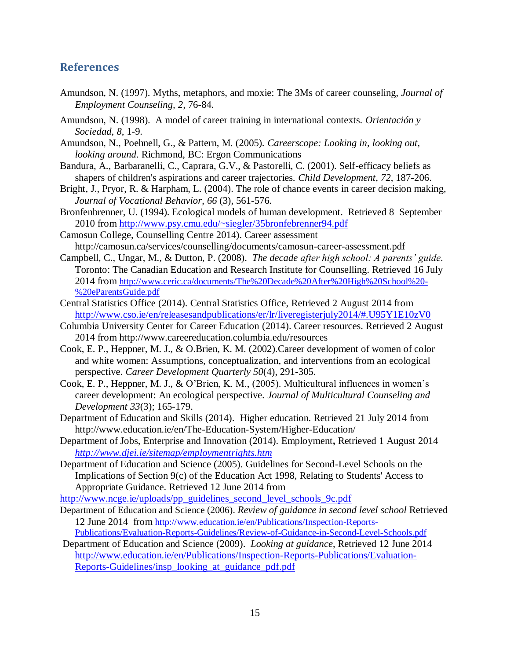#### **References**

- Amundson, N. (1997). Myths, metaphors, and moxie: The 3Ms of career counseling, *Journal of Employment Counseling, 2,* 76-84.
- Amundson, N. (1998). A model of career training in international contexts. *Orientación y Sociedad*, *8*, 1-9.
- Amundson, N., Poehnell, G., & Pattern, M. (2005). *Careerscope: Looking in, looking out, looking around*. Richmond, BC: Ergon Communications
- Bandura, A., Barbaranelli, C., Caprara, G.V., & Pastorelli, C. (2001). Self-efficacy beliefs as shapers of children's aspirations and career trajectories. *Child Development*, *72*, 187-206.
- Bright, J., Pryor, R. & Harpham, L. (2004). The role of chance events in career decision making, *Journal of Vocational Behavior*, *66* (3), 561-576.
- Bronfenbrenner, U. (1994). Ecological models of human development. Retrieved 8 September 2010 from<http://www.psy.cmu.edu/~siegler/35bronfebrenner94.pdf>
- Camosun College, Counselling Centre 2014). Career assessment http://camosun.ca/services/counselling/documents/camosun-career-assessment.pdf
- Campbell, C., Ungar, M., & Dutton, P. (2008). *The decade after high school: A parents' guide*. Toronto: The Canadian Education and Research Institute for Counselling. Retrieved 16 July 2014 from [http://www.ceric.ca/documents/The%20Decade%20After%20High%20School%20-](http://www.ceric.ca/documents/The%20Decade%20After%20High%20School%20-%20eParentsGuide.pdf) [%20eParentsGuide.pdf](http://www.ceric.ca/documents/The%20Decade%20After%20High%20School%20-%20eParentsGuide.pdf)
- Central Statistics Office (2014). Central Statistics Office, Retrieved 2 August 2014 from <http://www.cso.ie/en/releasesandpublications/er/lr/liveregisterjuly2014/#.U95Y1E10zV0>
- Columbia University Center for Career Education (2014). Career resources. Retrieved 2 August 2014 from http://www.careereducation.columbia.edu/resources
- Cook, E. P., Heppner, M. J., & O.Brien, K. M. (2002).Career development of women of color and white women: Assumptions, conceptualization, and interventions from an ecological perspective. *Career Development Quarterly 50*(4), 291-305.
- Cook, E. P., Heppner, M. J., & O'Brien, K. M., (2005). Multicultural influences in women's career development: An ecological perspective. *Journal of Multicultural Counseling and Development 33*(3); 165-179.
- Department of Education and Skills (2014). Higher education. Retrieved 21 July 2014 from <http://www.education.ie/en/The-Education-System/Higher-Education/>
- Department of Jobs, Enterprise and Innovation (2014). Employment**,** Retrieved 1 August 2014 *<http://www.djei.ie/sitemap/employmentrights.htm>*
- Department of Education and Science (2005). Guidelines for Second-Level Schools on the Implications of Section 9(c) of the Education Act 1998, Relating to Students' Access to Appropriate Guidance. Retrieved 12 June 2014 from

[http://www.ncge.ie/uploads/pp\\_guidelines\\_second\\_level\\_schools\\_9c.pdf](http://www.ncge.ie/uploads/pp_guidelines_second_level_schools_9c.pdf)

- Department of Education and Science (2006). *Review of guidance in second level school* Retrieved 12 June 2014 from [http://www.education.ie/en/Publications/Inspection-Reports-](http://www.education.ie/en/Publications/Inspection-Reports-Publications/Evaluation-Reports-Guidelines/Review-of-Guidance-in-Second-Level-Schools.pdf)[Publications/Evaluation-Reports-Guidelines/Review-of-Guidance-in-Second-Level-Schools.pdf](http://www.education.ie/en/Publications/Inspection-Reports-Publications/Evaluation-Reports-Guidelines/Review-of-Guidance-in-Second-Level-Schools.pdf)
- Department of Education and Science (2009). *Looking at guidance*, Retrieved 12 June 2014 [http://www.education.ie/en/Publications/Inspection-Reports-Publications/Evaluation-](http://www.education.ie/en/Publications/Inspection-Reports-Publications/Evaluation-Reports-Guidelines/insp_looking_at_guidance_pdf.pdf)[Reports-Guidelines/insp\\_looking\\_at\\_guidance\\_pdf.pdf](http://www.education.ie/en/Publications/Inspection-Reports-Publications/Evaluation-Reports-Guidelines/insp_looking_at_guidance_pdf.pdf)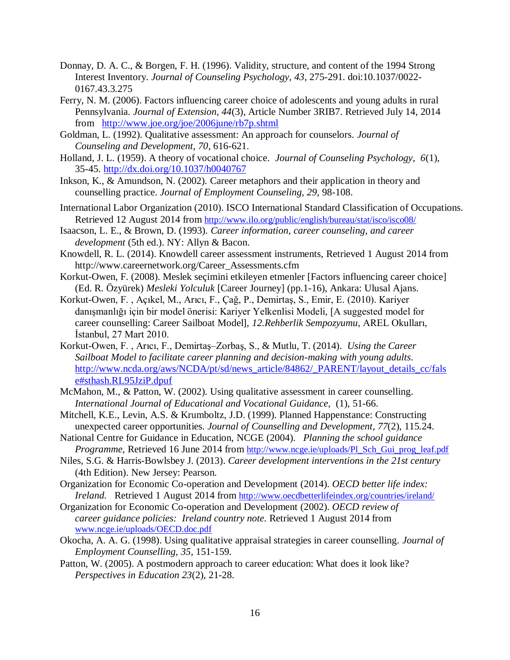- Donnay, D. A. C., & Borgen, F. H. (1996). Validity, structure, and content of the 1994 Strong Interest Inventory. *Journal of Counseling Psychology, 43*, 275-291. doi:10.1037/0022- 0167.43.3.275
- Ferry, N. M. (2006). Factors influencing career choice of adolescents and young adults in rural Pennsylvania. *Journal of Extension, 44*(3), Article Number 3RIB7. Retrieved July 14, 2014 from <http://www.joe.org/joe/2006june/rb7p.shtml>
- Goldman, L. (1992). Qualitative assessment: An approach for counselors. *Journal of Counseling and Development, 70*, 616-621.
- Holland, J. L. (1959). A theory of vocational choice. *Journal of Counseling Psychology, 6*(1), 35-45. [http://dx.doi.org/10.1037/h0040767](http://psycnet.apa.org/doi/10.1037/h0040767)
- Inkson, K., & Amundson, N. (2002). Career metaphors and their application in theory and counselling practice. *Journal of Employment Counseling, 29,* 98-108.
- International Labor Organization (2010). ISCO International Standard Classification of Occupations. Retrieved 12 August 2014 from <http://www.ilo.org/public/english/bureau/stat/isco/isco08/>
- Isaacson, L. E., & Brown, D. (1993). *Career information, career counseling, and career development* (5th ed.). NY: Allyn & Bacon.
- Knowdell, R. L. (2014). Knowdell career assessment instruments, Retrieved 1 August 2014 from [http://www.careernetwork.org/Career\\_Assessments.cfm](http://www.careernetwork.org/Career_Assessments.cfm)
- Korkut-Owen, F. (2008). Meslek seçimini etkileyen etmenler [Factors influencing career choice] (Ed. R. Özyürek) *Mesleki Yolculuk* [Career Journey] (pp.1-16), Ankara: Ulusal Ajans.
- Korkut-Owen, F. , Açıkel, M., Arıcı, F., Çağ, P., Demirtaş, S., Emir, E. (2010). Kariyer danışmanlığı için bir model önerisi: Kariyer Yelkenlisi Modeli, [A suggested model for career counselling: Career Sailboat Model], *12.Rehberlik Sempozyumu*, AREL Okulları, İstanbul, 27 Mart 2010.
- Korkut-Owen, F. , Arıcı, F., Demirtaş–Zorbaş, S., & Mutlu, T. (2014). *Using the Career Sailboat Model to facilitate career planning and decision-making with young adults*. [http://www.ncda.org/aws/NCDA/pt/sd/news\\_article/84862/\\_PARENT/layout\\_details\\_cc/fals](http://www.ncda.org/aws/NCDA/pt/sd/news_article/84862/_PARENT/layout_details_cc/false#sthash.RL95JziP.dpuf) [e#sthash.RL95JziP.dpuf](http://www.ncda.org/aws/NCDA/pt/sd/news_article/84862/_PARENT/layout_details_cc/false#sthash.RL95JziP.dpuf)
- McMahon, M., & Patton, W. (2002). Using qualitative assessment in career counselling. *International Journal of Educational and Vocational Guidance,* (1), 51-66.
- Mitchell, K.E., Levin, A.S. & Krumboltz, J.D. (1999). Planned Happenstance: Constructing unexpected career opportunities. *Journal of Counselling and Development*, *77*(2), 115.24.
- National Centre for Guidance in Education, NCGE (2004). *Planning the school guidance Programme*, Retrieved 16 June 2014 from [http://www.ncge.ie/uploads/Pl\\_Sch\\_Gui\\_prog\\_leaf.pdf](http://www.ncge.ie/uploads/Pl_Sch_Gui_prog_leaf.pdf)
- Niles, S.G. & Harris-Bowlsbey J. (2013). *Career development interventions in the 21st century* (4th Edition). New Jersey: Pearson.
- Organization for Economic Co-operation and Development (2014). *OECD better life index: Ireland.* Retrieved 1 August 2014 from <http://www.oecdbetterlifeindex.org/countries/ireland/>
- Organization for Economic Co-operation and Development (2002). *OECD review of career guidance policies: Ireland country note.* Retrieved 1 August 2014 from [www.ncge.ie/uploads/OECD.doc.pdf](http://www.ncge.ie/uploads/OECD.doc.pdf)
- Okocha, A. A. G. (1998). Using qualitative appraisal strategies in career counselling. *Journal of Employment Counselling, 35,* 151-159.
- Patton, W. (2005). A postmodern approach to career education: What does it look like? *Perspectives in Education 23*(2), 21-28.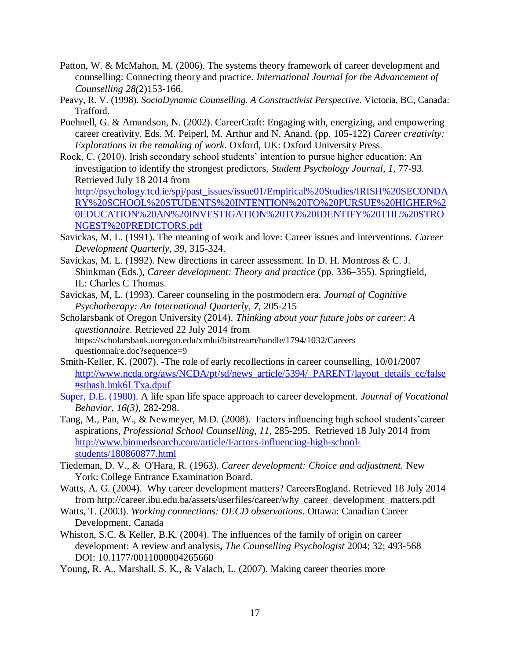- Patton, W. & McMahon, M. (2006). The systems theory framework of career development and counselling: Connecting theory and practice. *International Journal for the Advancement of Counselling 28(*2)153-166.
- Peavy, R. V. (1998). *SocioDynamic Counselling. A Constructivist Perspective*. Victoria, BC, Canada: Trafford.
- Poehnell, G. & Amundson, N. (2002). CareerCraft: Engaging with, energizing, and empowering career creativity. Eds. M. Peiperl, M. Arthur and N. Anand. (pp. 105-122) *Career creativity: Explorations in the remaking of work*. Oxford, UK: Oxford University Press.
- Rock, C. (2010). Irish secondary school students' intention to pursue higher education: An investigation to identify the strongest predictors, *Student Psychology Journal, 1,* 77-93. Retrieved July 18 2014 from

[http://psychology.tcd.ie/spj/past\\_issues/issue01/Empirical%20Studies/IRISH%20SECONDA](http://psychology.tcd.ie/spj/past_issues/issue01/Empirical%20Studies/IRISH%20SECONDARY%20SCHOOL%20STUDENTS%20INTENTION%20TO%20PURSUE%20HIGHER%20EDUCATION%20AN%20INVESTIGATION%20TO%20IDENTIFY%20THE%20STRONGEST%20PREDICTORS.pdf) [RY%20SCHOOL%20STUDENTS%20INTENTION%20TO%20PURSUE%20HIGHER%2](http://psychology.tcd.ie/spj/past_issues/issue01/Empirical%20Studies/IRISH%20SECONDARY%20SCHOOL%20STUDENTS%20INTENTION%20TO%20PURSUE%20HIGHER%20EDUCATION%20AN%20INVESTIGATION%20TO%20IDENTIFY%20THE%20STRONGEST%20PREDICTORS.pdf) [0EDUCATION%20AN%20INVESTIGATION%20TO%20IDENTIFY%20THE%20STRO](http://psychology.tcd.ie/spj/past_issues/issue01/Empirical%20Studies/IRISH%20SECONDARY%20SCHOOL%20STUDENTS%20INTENTION%20TO%20PURSUE%20HIGHER%20EDUCATION%20AN%20INVESTIGATION%20TO%20IDENTIFY%20THE%20STRONGEST%20PREDICTORS.pdf) [NGEST%20PREDICTORS.pdf](http://psychology.tcd.ie/spj/past_issues/issue01/Empirical%20Studies/IRISH%20SECONDARY%20SCHOOL%20STUDENTS%20INTENTION%20TO%20PURSUE%20HIGHER%20EDUCATION%20AN%20INVESTIGATION%20TO%20IDENTIFY%20THE%20STRONGEST%20PREDICTORS.pdf)

- Savickas, M. L. (1991). The meaning of work and love: Career issues and interventions. *Career Development Quarterly, 39*, 315-324.
- Savickas, M. L. (1992). New directions in career assessment. In D. H. Montross & C. J. Shinkman (Eds.), *Career development: Theory and practice* (pp. 336–355). Springfield, IL: Charles C Thomas.
- Savickas, M, L. (1993). Career counseling in the postmodern era. *Journal of Cognitive Psychotherapy: An International Quarterly*, *7*, 205-215
- Scholarsbank of Oregon University (2014). *Thinking about your future jobs or career: A questionnaire*. Retrieved 22 July 2014 from https://scholarsbank.uoregon.edu/xmlui/bitstream/handle/1794/1032/Careers questionnaire.doc?sequence=9
- Smith-Keller, K. (2007). -The role of early recollections in career counselling, 10/01/2007 [http://www.ncda.org/aws/NCDA/pt/sd/news\\_article/5394/\\_PARENT/layout\\_details\\_cc/false](http://www.ncda.org/aws/NCDA/pt/sd/news_article/5394/_PARENT/layout_details_cc/false#sthash.lmk6LTxa.dpuf) [#sthash.lmk6LTxa.dpuf](http://www.ncda.org/aws/NCDA/pt/sd/news_article/5394/_PARENT/layout_details_cc/false#sthash.lmk6LTxa.dpuf)
- Super, D.E. (1980). A life span life space approach to career development. *Journal of Vocational Behavior, 16(3),* 282-298.
- Tang, M., Pan, W., & Newmeyer, M.D. (2008). Factors influencing high school students'career aspirations, *Professional School Counselling, 11*, 285-295. Retrieved 18 July 2014 from [http://www.biomedsearch.com/article/Factors-influencing-high-school](http://www.biomedsearch.com/article/Factors-influencing-high-school-students/180860877.html)[students/180860877.html](http://www.biomedsearch.com/article/Factors-influencing-high-school-students/180860877.html)
- Tiedeman, D. V., & O'Hara, R. (1963). *Career development: Choice and adjustment.* New York: College Entrance Examination Board.
- Watts, A. G. (2004). Why career development matters? CareersEngland. Retrieved 18 July 2014 from http://career.ibu.edu.ba/assets/userfiles/career/why\_career\_development\_matters.pdf
- Watts, T. (2003). *Working connections: OECD observations*. Ottawa: Canadian Career Development, Canada
- Whiston, S.C. & Keller, B.K. (2004). The influences of the family of origin on career development: A review and analysis**,** *The Counselling Psychologist* 2004; 32; 493-568 DOI: 10.1177/0011000004265660
- Young, R. A., Marshall, S. K., & Valach, L. (2007). Making career theories more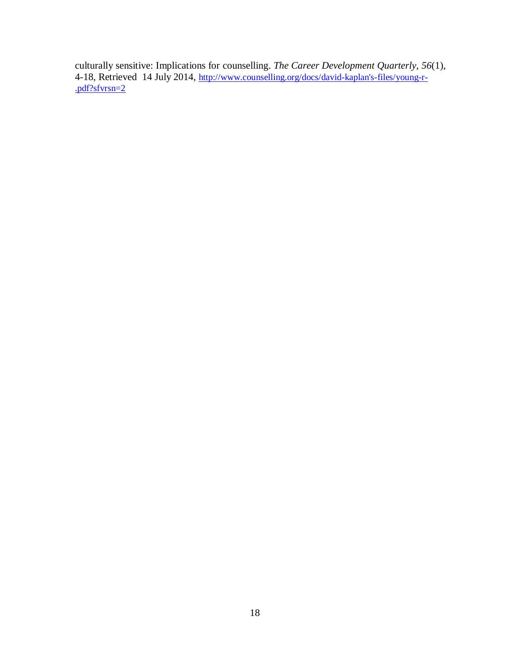culturally sensitive: Implications for counselling. *The Career Development Quarterly, 56*(1), 4-18, Retrieved 14 July 2014, [http://www.counselling.org/docs/david-kaplan's-files/young-r-](http://www.counselling.org/docs/david-kaplan) [.pdf?sfvrsn=2](http://www.counselling.org/docs/david-kaplan)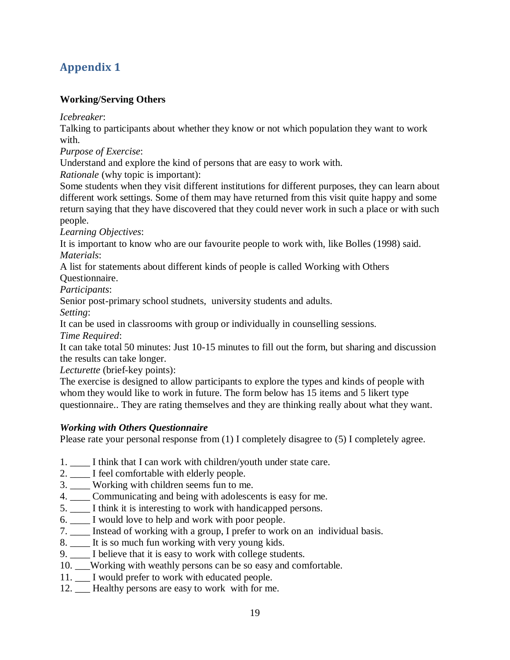## **Appendix 1**

### **[Working/Serving Others](http://lifeworkps.com/sallyg/weblog/2330.html)**

*Icebreaker*:

Talking to participants about whether they know or not which population they want to work with.

*Purpose of Exercise*:

Understand and explore the kind of persons that are easy to work with.

*Rationale* (why topic is important):

Some students when they visit different institutions for different purposes, they can learn about different work settings. Some of them may have returned from this visit quite happy and some return saying that they have discovered that they could never work in such a place or with such people.

*Learning Objectives*:

It is important to know who are our favourite people to work with, like Bolles (1998) said. *Materials*:

A list for statements about different kinds of people is called Working with Others Questionnaire.

*Participants*:

Senior post-primary school studnets, university students and adults.

*Setting*:

It can be used in classrooms with group or individually in counselling sessions.

*Time Required*:

It can take total 50 minutes: Just 10-15 minutes to fill out the form, but sharing and discussion the results can take longer.

*Lecturette* (brief-key points):

The exercise is designed to allow participants to explore the types and kinds of people with whom they would like to work in future. The form below has 15 items and 5 likert type questionnaire.. They are rating themselves and they are thinking really about what they want.

#### *Working with Others Questionnaire*

Please rate your personal response from (1) I completely disagree to (5) I completely agree.

- 1. \_\_\_\_ I think that I can work with children/youth under state care.
- 2. \_\_\_\_ I feel comfortable with elderly people.
- 3. \_\_\_\_ Working with children seems fun to me.
- 4. \_\_\_\_ Communicating and being with adolescents is easy for me.
- 5. \_\_\_\_ I think it is interesting to work with handicapped persons.
- 6. \_\_\_\_ I would love to help and work with poor people.
- 7. \_\_\_\_ Instead of working with a group, I prefer to work on an individual basis.
- 8. \_\_\_\_ It is so much fun working with very young kids.
- 9. \_\_\_\_ I believe that it is easy to work with college students.
- 10. \_\_\_Working with weathly persons can be so easy and comfortable.
- 11. \_\_\_ I would prefer to work with educated people.
- 12. Healthy persons are easy to work with for me.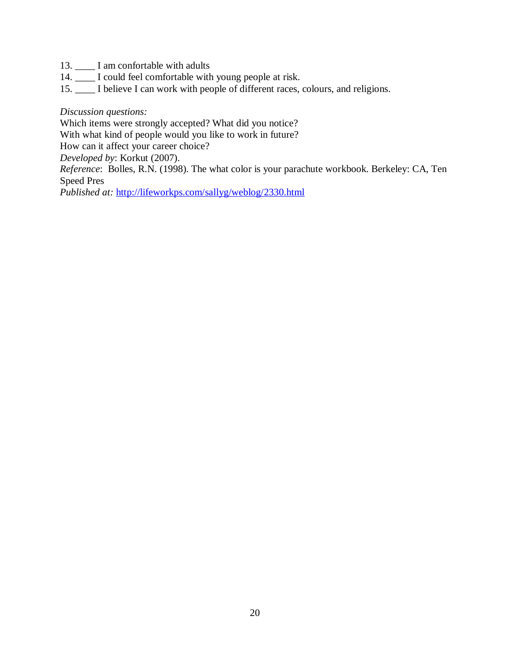- 13. \_\_\_\_ I am confortable with adults
- 14. \_\_\_\_ I could feel comfortable with young people at risk.
- 15. \_\_\_\_ I believe I can work with people of different races, colours, and religions.

#### *Discussion questions:*

Which items were strongly accepted? What did you notice?

With what kind of people would you like to work in future?

How can it affect your career choice?

*Developed by*: Korkut (2007).

*Reference*: Bolles, R.N. (1998). The what color is your parachute workbook. Berkeley: CA, Ten Speed Pres

*Published at:* <http://lifeworkps.com/sallyg/weblog/2330.html>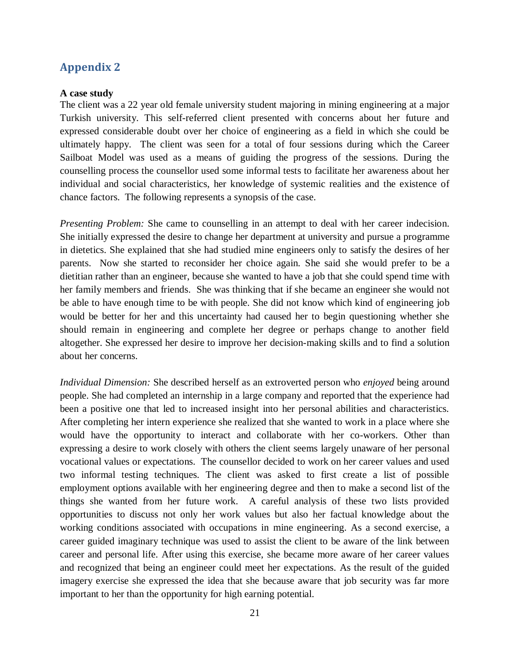### **Appendix 2**

#### **A case study**

The client was a 22 year old female university student majoring in mining engineering at a major Turkish university. This self-referred client presented with concerns about her future and expressed considerable doubt over her choice of engineering as a field in which she could be ultimately happy. The client was seen for a total of four sessions during which the Career Sailboat Model was used as a means of guiding the progress of the sessions. During the counselling process the counsellor used some informal tests to facilitate her awareness about her individual and social characteristics, her knowledge of systemic realities and the existence of chance factors. The following represents a synopsis of the case.

*Presenting Problem:* She came to counselling in an attempt to deal with her career indecision. She initially expressed the desire to change her department at university and pursue a programme in dietetics. She explained that she had studied mine engineers only to satisfy the desires of her parents. Now she started to reconsider her choice again. She said she would prefer to be a dietitian rather than an engineer, because she wanted to have a job that she could spend time with her family members and friends. She was thinking that if she became an engineer she would not be able to have enough time to be with people. She did not know which kind of engineering job would be better for her and this uncertainty had caused her to begin questioning whether she should remain in engineering and complete her degree or perhaps change to another field altogether. She expressed her desire to improve her decision-making skills and to find a solution about her concerns.

*Individual Dimension:* She described herself as an extroverted person who *enjoyed* being around people. She had completed an internship in a large company and reported that the experience had been a positive one that led to increased insight into her personal abilities and characteristics. After completing her intern experience she realized that she wanted to work in a place where she would have the opportunity to interact and collaborate with her co-workers. Other than expressing a desire to work closely with others the client seems largely unaware of her personal vocational values or expectations. The counsellor decided to work on her career values and used two informal testing techniques. The client was asked to first create a list of possible employment options available with her engineering degree and then to make a second list of the things she wanted from her future work. A careful analysis of these two lists provided opportunities to discuss not only her work values but also her factual knowledge about the working conditions associated with occupations in mine engineering. As a second exercise, a career guided imaginary technique was used to assist the client to be aware of the link between career and personal life. After using this exercise, she became more aware of her career values and recognized that being an engineer could meet her expectations. As the result of the guided imagery exercise she expressed the idea that she because aware that job security was far more important to her than the opportunity for high earning potential.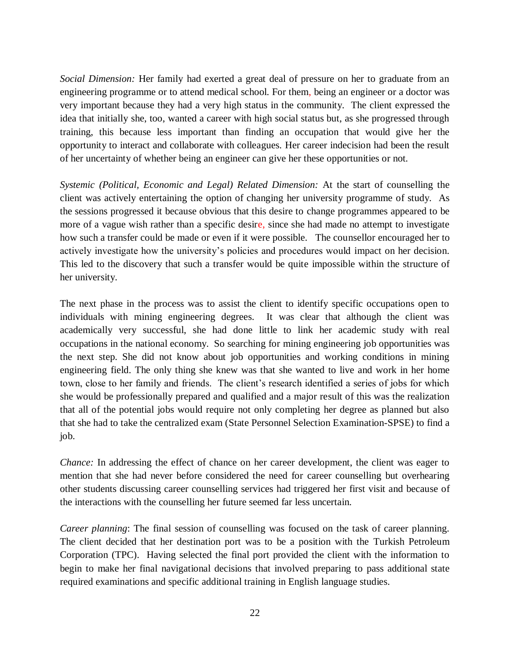*Social Dimension:* Her family had exerted a great deal of pressure on her to graduate from an engineering programme or to attend medical school. For them, being an engineer or a doctor was very important because they had a very high status in the community. The client expressed the idea that initially she, too, wanted a career with high social status but, as she progressed through training, this because less important than finding an occupation that would give her the opportunity to interact and collaborate with colleagues. Her career indecision had been the result of her uncertainty of whether being an engineer can give her these opportunities or not.

*Systemic (Political, Economic and Legal) Related Dimension:* At the start of counselling the client was actively entertaining the option of changing her university programme of study. As the sessions progressed it because obvious that this desire to change programmes appeared to be more of a vague wish rather than a specific desire, since she had made no attempt to investigate how such a transfer could be made or even if it were possible. The counsellor encouraged her to actively investigate how the university's policies and procedures would impact on her decision. This led to the discovery that such a transfer would be quite impossible within the structure of her university.

The next phase in the process was to assist the client to identify specific occupations open to individuals with mining engineering degrees. It was clear that although the client was academically very successful, she had done little to link her academic study with real occupations in the national economy. So searching for mining engineering job opportunities was the next step. She did not know about job opportunities and working conditions in mining engineering field. The only thing she knew was that she wanted to live and work in her home town, close to her family and friends. The client's research identified a series of jobs for which she would be professionally prepared and qualified and a major result of this was the realization that all of the potential jobs would require not only completing her degree as planned but also that she had to take the centralized exam (State Personnel Selection Examination-SPSE) to find a job.

*Chance:* In addressing the effect of chance on her career development, the client was eager to mention that she had never before considered the need for career counselling but overhearing other students discussing career counselling services had triggered her first visit and because of the interactions with the counselling her future seemed far less uncertain.

*Career planning*: The final session of counselling was focused on the task of career planning. The client decided that her destination port was to be a position with the Turkish Petroleum Corporation (TPC). Having selected the final port provided the client with the information to begin to make her final navigational decisions that involved preparing to pass additional state required examinations and specific additional training in English language studies.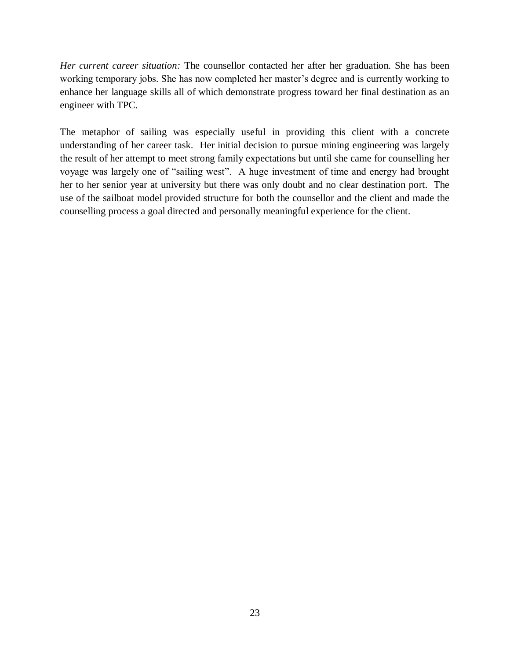*Her current career situation:* The counsellor contacted her after her graduation. She has been working temporary jobs. She has now completed her master's degree and is currently working to enhance her language skills all of which demonstrate progress toward her final destination as an engineer with TPC.

The metaphor of sailing was especially useful in providing this client with a concrete understanding of her career task. Her initial decision to pursue mining engineering was largely the result of her attempt to meet strong family expectations but until she came for counselling her voyage was largely one of "sailing west". A huge investment of time and energy had brought her to her senior year at university but there was only doubt and no clear destination port. The use of the sailboat model provided structure for both the counsellor and the client and made the counselling process a goal directed and personally meaningful experience for the client.